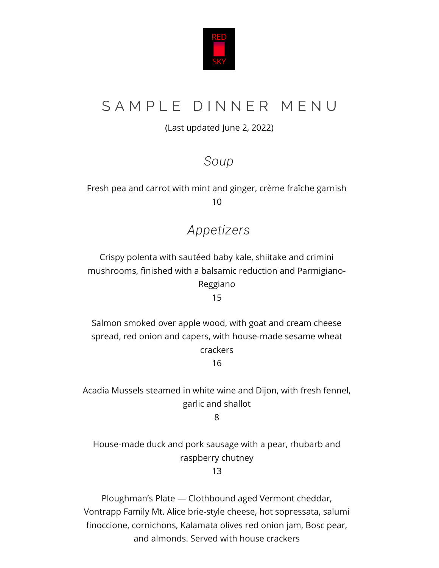

# SAMPLE DINNER MENU

#### (Last updated June 2, 2022)

# *Soup*

Fresh pea and carrot with mint and ginger, crème fraîche garnish 10

# *Appetizers*

Crispy polenta with sautéed baby kale, shiitake and crimini mushrooms, finished with a balsamic reduction and Parmigiano-Reggiano

15

Salmon smoked over apple wood, with goat and cream cheese spread, red onion and capers, with house-made sesame wheat crackers 16

Acadia Mussels steamed in white wine and Dijon, with fresh fennel, garlic and shallot

8

House-made duck and pork sausage with a pear, rhubarb and raspberry chutney

13

Ploughman's Plate — Clothbound aged Vermont cheddar, Vontrapp Family Mt. Alice brie-style cheese, hot sopressata, salumi finoccione, cornichons, Kalamata olives red onion jam, Bosc pear, and almonds. Served with house crackers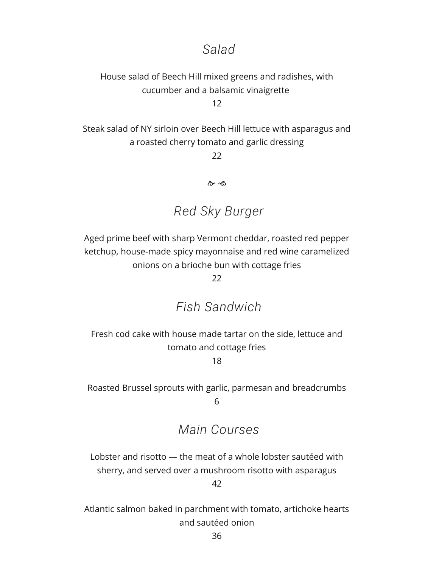#### *Salad*

# House salad of Beech Hill mixed greens and radishes, with cucumber and a balsamic vinaigrette

12

Steak salad of NY sirloin over Beech Hill lettuce with asparagus and a roasted cherry tomato and garlic dressing

 $22$ 

രം ക

# *Red Sky Burger*

Aged prime beef with sharp Vermont cheddar, roasted red pepper ketchup, house-made spicy mayonnaise and red wine caramelized onions on a brioche bun with cottage fries

22

### *Fish Sandwich*

Fresh cod cake with house made tartar on the side, lettuce and tomato and cottage fries

18

Roasted Brussel sprouts with garlic, parmesan and breadcrumbs 6

# *Main Courses*

Lobster and risotto — the meat of a whole lobster sautéed with sherry, and served over a mushroom risotto with asparagus

42

Atlantic salmon baked in parchment with tomato, artichoke hearts and sautéed onion